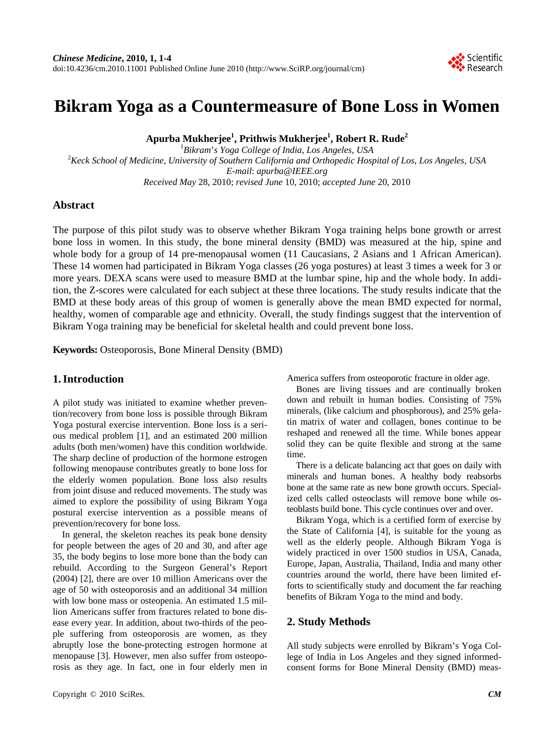# **Bikram Yoga as a Countermeasure of Bone Loss in Women**

**Apurba Mukherjee1 , Prithwis Mukherjee1 , Robert R. Rude2**

 ${}^{1}$ Bikram's Yoga College of India, Los Angeles, USA *Bikram*'*s Yoga College of India*, *Los Angeles*, *USA* <sup>2</sup> *Keck School of Medicine*, *University of Southern California and Orthopedic Hospital of Los*, *Los Angeles*, *USA E-mail*: *apurba@IEEE.org Received May* 28, 2010; *revised June* 10, 2010; *accepted June* 20, 2010

### **Abstract**

The purpose of this pilot study was to observe whether Bikram Yoga training helps bone growth or arrest bone loss in women. In this study, the bone mineral density (BMD) was measured at the hip, spine and whole body for a group of 14 pre-menopausal women (11 Caucasians, 2 Asians and 1 African American). These 14 women had participated in Bikram Yoga classes (26 yoga postures) at least 3 times a week for 3 or more years. DEXA scans were used to measure BMD at the lumbar spine, hip and the whole body. In addition, the Z-scores were calculated for each subject at these three locations. The study results indicate that the BMD at these body areas of this group of women is generally above the mean BMD expected for normal, healthy, women of comparable age and ethnicity. Overall, the study findings suggest that the intervention of Bikram Yoga training may be beneficial for skeletal health and could prevent bone loss.

**Keywords:** Osteoporosis, Bone Mineral Density (BMD)

### **1. Introduction**

A pilot study was initiated to examine whether prevention/recovery from bone loss is possible through Bikram Yoga postural exercise intervention. Bone loss is a serious medical problem [1], and an estimated 200 million adults (both men/women) have this condition worldwide. The sharp decline of production of the hormone estrogen following menopause contributes greatly to bone loss for the elderly women population. Bone loss also results from joint disuse and reduced movements. The study was aimed to explore the possibility of using Bikram Yoga postural exercise intervention as a possible means of prevention/recovery for bone loss.

In general, the skeleton reaches its peak bone density for people between the ages of 20 and 30, and after age 35, the body begins to lose more bone than the body can rebuild. According to the Surgeon General's Report (2004) [2], there are over 10 million Americans over the age of 50 with osteoporosis and an additional 34 million with low bone mass or osteopenia. An estimated 1.5 million Americans suffer from fractures related to bone disease every year. In addition, about two-thirds of the people suffering from osteoporosis are women, as they abruptly lose the bone-protecting estrogen hormone at menopause [3]. However, men also suffer from osteoporosis as they age. In fact, one in four elderly men in

America suffers from osteoporotic fracture in older age.

Bones are living tissues and are continually broken down and rebuilt in human bodies. Consisting of 75% minerals, (like calcium and phosphorous), and 25% gelatin matrix of water and collagen, bones continue to be reshaped and renewed all the time. While bones appear solid they can be quite flexible and strong at the same time.

There is a delicate balancing act that goes on daily with minerals and human bones. A healthy body reabsorbs bone at the same rate as new bone growth occurs. Specialized cells called osteoclasts will remove bone while osteoblasts build bone. This cycle continues over and over.

Bikram Yoga, which is a certified form of exercise by the State of California [4], is suitable for the young as well as the elderly people. Although Bikram Yoga is widely practiced in over 1500 studios in USA, Canada, Europe, Japan, Australia, Thailand, India and many other countries around the world, there have been limited efforts to scientifically study and document the far reaching benefits of Bikram Yoga to the mind and body.

#### **2. Study Methods**

All study subjects were enrolled by Bikram's Yoga College of India in Los Angeles and they signed informedconsent forms for Bone Mineral Density (BMD) meas-

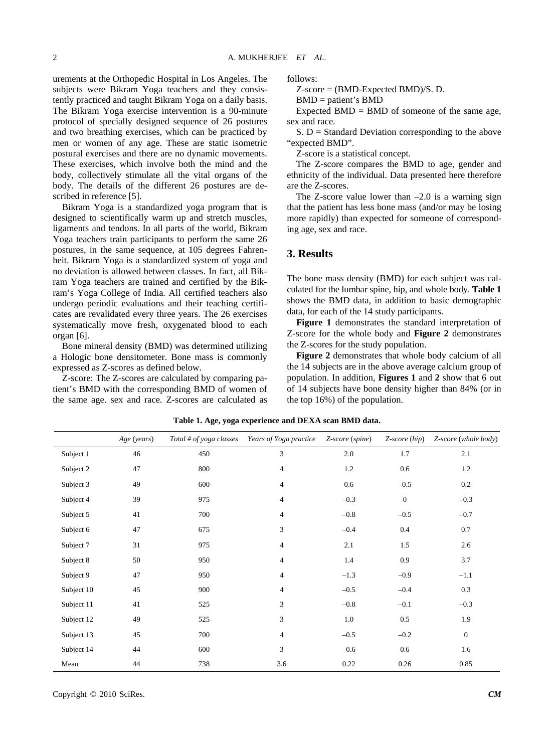urements at the Orthopedic Hospital in Los Angeles. The subjects were Bikram Yoga teachers and they consistently practiced and taught Bikram Yoga on a daily basis. The Bikram Yoga exercise intervention is a 90-minute protocol of specially designed sequence of 26 postures and two breathing exercises, which can be practiced by men or women of any age. These are static isometric postural exercises and there are no dynamic movements. These exercises, which involve both the mind and the body, collectively stimulate all the vital organs of the body. The details of the different 26 postures are described in reference [5].

Bikram Yoga is a standardized yoga program that is designed to scientifically warm up and stretch muscles, ligaments and tendons. In all parts of the world, Bikram Yoga teachers train participants to perform the same 26 postures, in the same sequence, at 105 degrees Fahrenheit. Bikram Yoga is a standardized system of yoga and no deviation is allowed between classes. In fact, all Bikram Yoga teachers are trained and certified by the Bikram's Yoga College of India. All certified teachers also undergo periodic evaluations and their teaching certificates are revalidated every three years. The 26 exercises systematically move fresh, oxygenated blood to each organ [6].

Bone mineral density (BMD) was determined utilizing a Hologic bone densitometer. Bone mass is commonly expressed as Z-scores as defined below.

Z-score: The Z-scores are calculated by comparing patient's BMD with the corresponding BMD of women of the same age. sex and race. Z-scores are calculated as

follows:

Z-score = (BMD-Expected BMD)/S. D.

$$
BMD = patient's BMD
$$

Expected  $BMD = BMD$  of someone of the same age, sex and race.

 $S. D = Standard Deviation corresponding to the above$ "expected BMD".

Z-score is a statistical concept.

The Z-score compares the BMD to age, gender and ethnicity of the individual. Data presented here therefore are the Z-scores.

The Z-score value lower than  $-2.0$  is a warning sign that the patient has less bone mass (and/or may be losing more rapidly) than expected for someone of corresponding age, sex and race.

### **3. Results**

The bone mass density (BMD) for each subject was calculated for the lumbar spine, hip, and whole body. **Table 1** shows the BMD data, in addition to basic demographic data, for each of the 14 study participants.

**Figure 1** demonstrates the standard interpretation of Z-score for the whole body and **Figure 2** demonstrates the Z-scores for the study population.

**Figure 2** demonstrates that whole body calcium of all the 14 subjects are in the above average calcium group of population. In addition, **Figures 1** and **2** show that 6 out of 14 subjects have bone density higher than 84% (or in the top 16%) of the population.

|            | Age (years) | Total # of yoga classes | Years of Yoga practice | Z-score (spine) | $Z-score(hip)$ | Z-score (whole body) |
|------------|-------------|-------------------------|------------------------|-----------------|----------------|----------------------|
| Subject 1  | 46          | 450                     | 3                      | 2.0             | 1.7            | 2.1                  |
| Subject 2  | 47          | 800                     | $\overline{4}$         | 1.2             | 0.6            | 1.2                  |
| Subject 3  | 49          | 600                     | $\overline{4}$         | 0.6             | $-0.5$         | 0.2                  |
| Subject 4  | 39          | 975                     | 4                      | $-0.3$          | $\mathbf{0}$   | $-0.3$               |
| Subject 5  | 41          | 700                     | $\overline{4}$         | $-0.8$          | $-0.5$         | $-0.7$               |
| Subject 6  | 47          | 675                     | 3                      | $-0.4$          | 0.4            | 0.7                  |
| Subject 7  | 31          | 975                     | $\overline{4}$         | 2.1             | 1.5            | 2.6                  |
| Subject 8  | 50          | 950                     | 4                      | 1.4             | 0.9            | 3.7                  |
| Subject 9  | 47          | 950                     | $\overline{4}$         | $-1.3$          | $-0.9$         | $-1.1$               |
| Subject 10 | 45          | 900                     | $\overline{4}$         | $-0.5$          | $-0.4$         | 0.3                  |
| Subject 11 | 41          | 525                     | 3                      | $-0.8$          | $-0.1$         | $-0.3$               |
| Subject 12 | 49          | 525                     | 3                      | 1.0             | 0.5            | 1.9                  |
| Subject 13 | 45          | 700                     | $\overline{4}$         | $-0.5$          | $-0.2$         | $\mathbf{0}$         |
| Subject 14 | 44          | 600                     | 3                      | $-0.6$          | 0.6            | 1.6                  |
| Mean       | 44          | 738                     | 3.6                    | 0.22            | 0.26           | 0.85                 |

**Table 1. Age, yoga experience and DEXA scan BMD data.**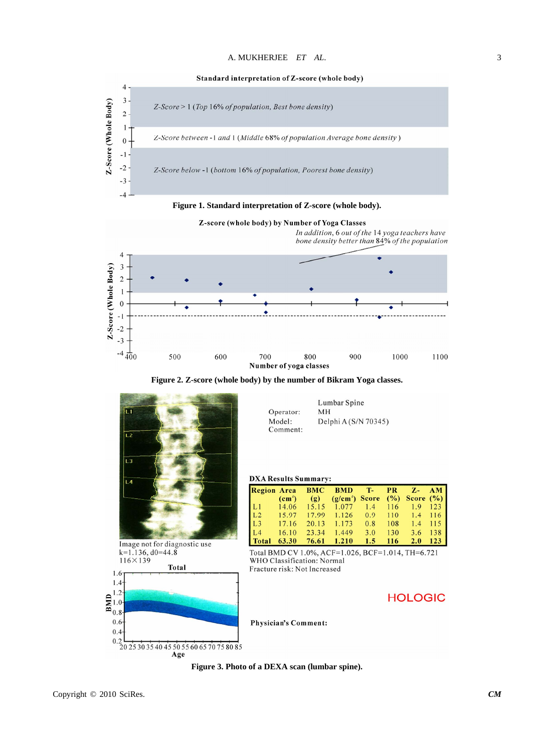

**Figure 1. Standard interpretation of Z-score (whole body).** 



**Figure 2. Z-score (whole body) by the number of Bikram Yoga classes.** 



 $0.2$ <br>20 25 30 35 40 45 50 55 60 65 70 75 80 85 Age

| Operator: | MН                   |
|-----------|----------------------|
| Model:    | Delphi A (S/N 70345) |
| Comment:  |                      |
|           |                      |
|           |                      |

 $M<sub>H</sub>$ 

Lumbar Spine

#### **DXA Results Summary:**

|       |       |              | Region Area BMC BMD T- PR Z- AM                                                                                      |         |     |           |
|-------|-------|--------------|----------------------------------------------------------------------------------------------------------------------|---------|-----|-----------|
|       |       | $(cm^2)$ (g) | $(g/cm2)$ Score $(\%)$ Score $(\%)$                                                                                  |         |     |           |
|       |       |              |                                                                                                                      |         |     |           |
|       |       |              |                                                                                                                      |         |     |           |
|       |       |              | L1 14.06 15.15 1.077 1.4 116 1.9 123<br>L2 15.97 17.99 1.126 0.9 110 1.4 116<br>L3 17.16 20.13 1.173 0.8 108 1.4 115 |         |     |           |
| L4    |       |              | $16.10$ 23.34 1.449                                                                                                  | 3.0     | 130 | 3.6 138   |
| Total | 63.30 |              | 76.61 1.210                                                                                                          | $1.5 -$ | 116 | $2.0$ 123 |

Total BMD CV 1.0%, ACF=1.026, BCF=1.014, TH=6.721 WHO Classification: Normal Fracture risk: Not Increased

## **HOLOGIC**

**Physician's Comment:** 

**Figure 3. Photo of a DEXA scan (lumbar spine).** 

 $0.6$ 

 $0.4$